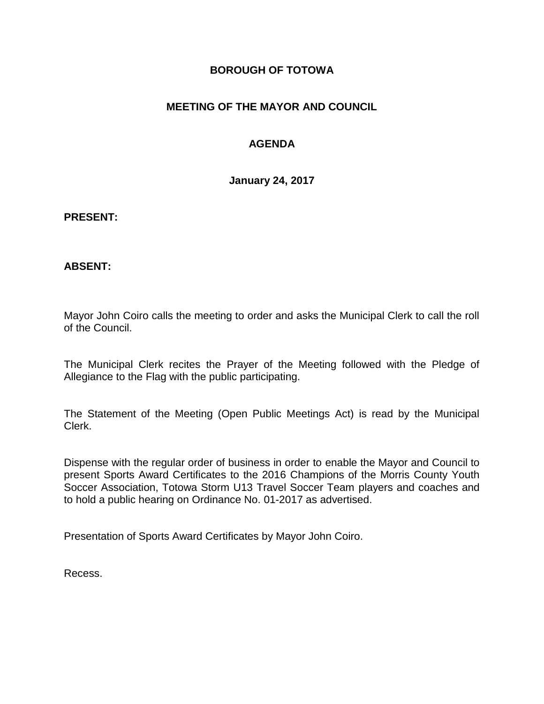## **BOROUGH OF TOTOWA**

## **MEETING OF THE MAYOR AND COUNCIL**

## **AGENDA**

**January 24, 2017**

#### **PRESENT:**

### **ABSENT:**

Mayor John Coiro calls the meeting to order and asks the Municipal Clerk to call the roll of the Council.

The Municipal Clerk recites the Prayer of the Meeting followed with the Pledge of Allegiance to the Flag with the public participating.

The Statement of the Meeting (Open Public Meetings Act) is read by the Municipal Clerk.

Dispense with the regular order of business in order to enable the Mayor and Council to present Sports Award Certificates to the 2016 Champions of the Morris County Youth Soccer Association, Totowa Storm U13 Travel Soccer Team players and coaches and to hold a public hearing on Ordinance No. 01-2017 as advertised.

Presentation of Sports Award Certificates by Mayor John Coiro.

Recess.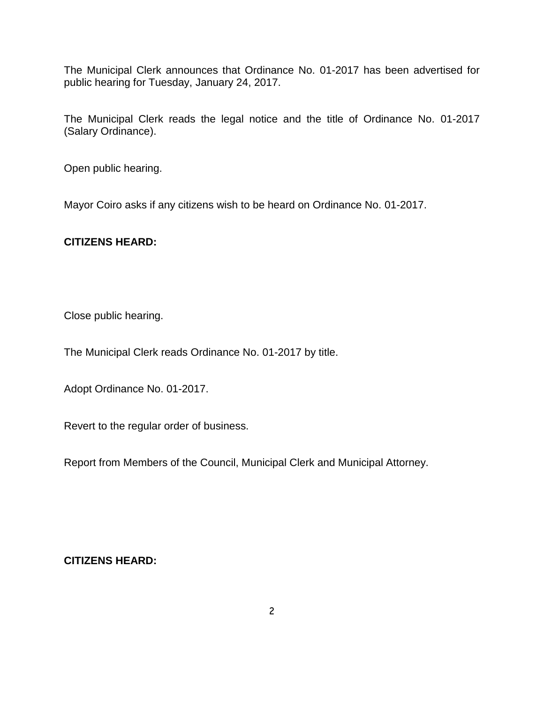The Municipal Clerk announces that Ordinance No. 01-2017 has been advertised for public hearing for Tuesday, January 24, 2017.

The Municipal Clerk reads the legal notice and the title of Ordinance No. 01-2017 (Salary Ordinance).

Open public hearing.

Mayor Coiro asks if any citizens wish to be heard on Ordinance No. 01-2017.

## **CITIZENS HEARD:**

Close public hearing.

The Municipal Clerk reads Ordinance No. 01-2017 by title.

Adopt Ordinance No. 01-2017.

Revert to the regular order of business.

Report from Members of the Council, Municipal Clerk and Municipal Attorney.

**CITIZENS HEARD:**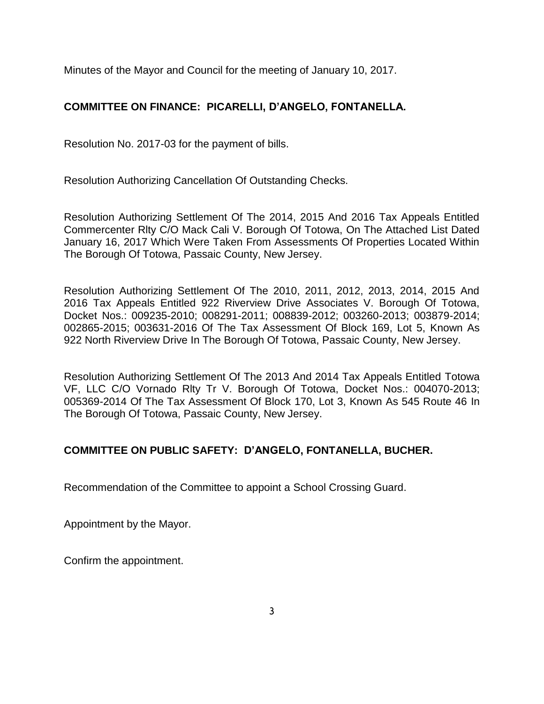Minutes of the Mayor and Council for the meeting of January 10, 2017.

# **COMMITTEE ON FINANCE: PICARELLI, D'ANGELO, FONTANELLA.**

Resolution No. 2017-03 for the payment of bills.

Resolution Authorizing Cancellation Of Outstanding Checks.

Resolution Authorizing Settlement Of The 2014, 2015 And 2016 Tax Appeals Entitled Commercenter Rlty C/O Mack Cali V. Borough Of Totowa, On The Attached List Dated January 16, 2017 Which Were Taken From Assessments Of Properties Located Within The Borough Of Totowa, Passaic County, New Jersey.

Resolution Authorizing Settlement Of The 2010, 2011, 2012, 2013, 2014, 2015 And 2016 Tax Appeals Entitled 922 Riverview Drive Associates V. Borough Of Totowa, Docket Nos.: 009235-2010; 008291-2011; 008839-2012; 003260-2013; 003879-2014; 002865-2015; 003631-2016 Of The Tax Assessment Of Block 169, Lot 5, Known As 922 North Riverview Drive In The Borough Of Totowa, Passaic County, New Jersey.

Resolution Authorizing Settlement Of The 2013 And 2014 Tax Appeals Entitled Totowa VF, LLC C/O Vornado Rlty Tr V. Borough Of Totowa, Docket Nos.: 004070-2013; 005369-2014 Of The Tax Assessment Of Block 170, Lot 3, Known As 545 Route 46 In The Borough Of Totowa, Passaic County, New Jersey.

## **COMMITTEE ON PUBLIC SAFETY: D'ANGELO, FONTANELLA, BUCHER.**

Recommendation of the Committee to appoint a School Crossing Guard.

Appointment by the Mayor.

Confirm the appointment.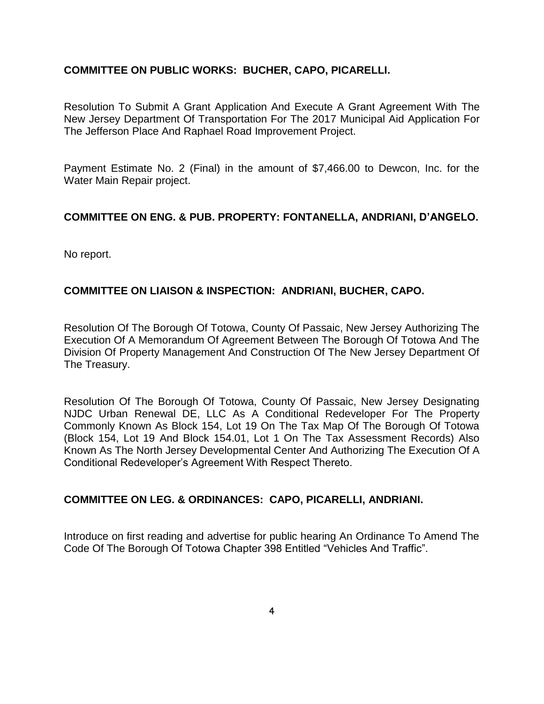### **COMMITTEE ON PUBLIC WORKS: BUCHER, CAPO, PICARELLI.**

Resolution To Submit A Grant Application And Execute A Grant Agreement With The New Jersey Department Of Transportation For The 2017 Municipal Aid Application For The Jefferson Place And Raphael Road Improvement Project.

Payment Estimate No. 2 (Final) in the amount of \$7,466.00 to Dewcon, Inc. for the Water Main Repair project.

## **COMMITTEE ON ENG. & PUB. PROPERTY: FONTANELLA, ANDRIANI, D'ANGELO.**

No report.

## **COMMITTEE ON LIAISON & INSPECTION: ANDRIANI, BUCHER, CAPO.**

Resolution Of The Borough Of Totowa, County Of Passaic, New Jersey Authorizing The Execution Of A Memorandum Of Agreement Between The Borough Of Totowa And The Division Of Property Management And Construction Of The New Jersey Department Of The Treasury.

Resolution Of The Borough Of Totowa, County Of Passaic, New Jersey Designating NJDC Urban Renewal DE, LLC As A Conditional Redeveloper For The Property Commonly Known As Block 154, Lot 19 On The Tax Map Of The Borough Of Totowa (Block 154, Lot 19 And Block 154.01, Lot 1 On The Tax Assessment Records) Also Known As The North Jersey Developmental Center And Authorizing The Execution Of A Conditional Redeveloper's Agreement With Respect Thereto.

### **COMMITTEE ON LEG. & ORDINANCES: CAPO, PICARELLI, ANDRIANI.**

Introduce on first reading and advertise for public hearing An Ordinance To Amend The Code Of The Borough Of Totowa Chapter 398 Entitled "Vehicles And Traffic".